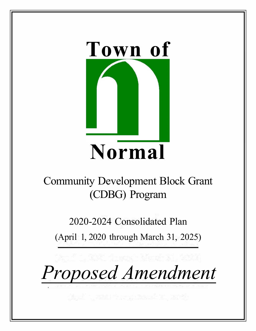

# Community Development Block Grant (CDBG) Program

2020-2024 Consolidated Plan

(April 1, 2020 through March 31, 2025)

*Proposed Amendment*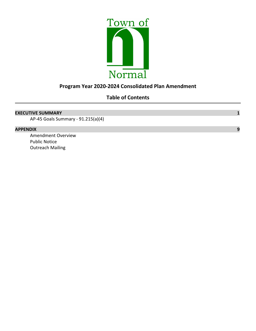

### **Program Year 2020-2024 Consolidated Plan Amendment**

### **Table of Contents**

#### **EXECUTIVE SUMMARY 1**

AP-45 Goals Summary - 91.215(a)(4)

#### **APPENDIX 9**

Amendment Overview Public Notice Outreach Mailing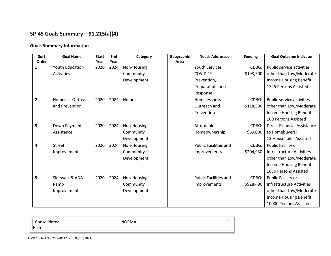## **SP-45 Goals Summary – 91.215(a)(4)**

#### **Goals Summary Information**

| Sort<br>Order  | <b>Goal Name</b>         | <b>Start</b><br>Year | End<br>Year | Category    | Geographic<br>Area | <b>Needs Addressed</b>       | <b>Funding</b> | <b>Goal Outcome Indicator</b>      |
|----------------|--------------------------|----------------------|-------------|-------------|--------------------|------------------------------|----------------|------------------------------------|
| $\mathbf{1}$   | <b>Youth Education</b>   | 2020                 | 2024        | Non-Housing |                    | <b>Youth Services</b>        | CDBG:          | Public service activities          |
|                | <b>Activities</b>        |                      |             | Community   |                    | COVID-19                     | \$193,500      | other than Low/Moderate            |
|                |                          |                      |             | Development |                    | Prevention,                  |                | Income Housing Benefit:            |
|                |                          |                      |             |             |                    | Preparation, and             |                | 1725 Persons Assisted              |
|                |                          |                      |             |             |                    | Response                     |                |                                    |
| $\overline{2}$ | <b>Homeless Outreach</b> | 2020                 | 2024        | Homeless    |                    | Homelessness                 | CDBG:          | Public service activities          |
|                | and Prevention           |                      |             |             |                    | Outreach and                 |                |                                    |
|                |                          |                      |             |             |                    |                              | \$118,500      | other than Low/Moderate            |
|                |                          |                      |             |             |                    | Prevention                   |                | Income Housing Benefit:            |
|                |                          |                      |             |             |                    |                              |                | 100 Persons Assisted               |
| 3              | Down Payment             | 2020                 | 2024        | Non-Housing |                    | Affordable                   | CDBG:          | <b>Direct Financial Assistance</b> |
|                | Assistance               |                      |             | Community   |                    | Homeownership                | \$69,000       | to Homebuyers:                     |
|                |                          |                      |             | Development |                    |                              |                | 13 Households Assisted             |
| 4              | <b>Street</b>            | 2020                 | 2024        | Non-Housing |                    | <b>Public Facilities and</b> | CDBG:          | Public Facility or                 |
|                | Improvements             |                      |             | Community   |                    | Improvements                 | \$204,930      | <b>Infrastructure Activities</b>   |
|                |                          |                      |             | Development |                    |                              |                | other than Low/Moderate            |
|                |                          |                      |             |             |                    |                              |                | Income Housing Benefit:            |
|                |                          |                      |             |             |                    |                              |                | 1630 Persons Assisted              |
| 5              | Sidewalk & ADA           | 2020                 | 2024        | Non-Housing |                    | <b>Public Facilities and</b> | CDBG:          | Public Facility or                 |
|                | Ramp                     |                      |             | Community   |                    | Improvements                 | \$928,490      | <b>Infrastructure Activities</b>   |
|                | Improvements             |                      |             | Development |                    |                              |                | other than Low/Moderate            |
|                |                          |                      |             |             |                    |                              |                | Income Housing Benefit:            |
|                |                          |                      |             |             |                    |                              |                | 10000 Persons Assisted             |

| Consolidated | <b>NORMAL</b> |  |
|--------------|---------------|--|
| Plan         |               |  |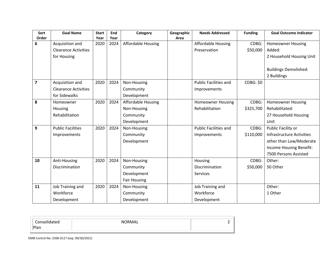| Sort                    | <b>Goal Name</b>            | <b>Start</b> | End  | Category                  | Geographic | <b>Needs Addressed</b>       | <b>Funding</b>   | <b>Goal Outcome Indicator</b>    |
|-------------------------|-----------------------------|--------------|------|---------------------------|------------|------------------------------|------------------|----------------------------------|
| Order                   |                             | Year         | Year |                           | Area       |                              |                  |                                  |
| 6                       | Acquisition and             | 2020         | 2024 | Affordable Housing        |            | <b>Affordable Housing</b>    | CDBG:            | <b>Homeowner Housing</b>         |
|                         | <b>Clearance Activities</b> |              |      |                           |            | Preservation                 | \$50,000         | Added:                           |
|                         | for Housing                 |              |      |                           |            |                              |                  | 2 Household Housing Unit         |
|                         |                             |              |      |                           |            |                              |                  | <b>Buildings Demolished:</b>     |
|                         |                             |              |      |                           |            |                              |                  | 2 Buildings                      |
| $\overline{\mathbf{z}}$ | Acquisition and             | 2020         | 2024 | Non-Housing               |            | <b>Public Facilities and</b> | <b>CDBG: \$0</b> |                                  |
|                         | <b>Clearance Activities</b> |              |      | Community                 |            | Improvements                 |                  |                                  |
|                         | for Sidewalks               |              |      | Development               |            |                              |                  |                                  |
| 8                       | Homeowner                   | 2020         | 2024 | <b>Affordable Housing</b> |            | <b>Homeowner Housing</b>     | CDBG:            | <b>Homeowner Housing</b>         |
|                         | Housing                     |              |      | Non-Housing               |            | Rehabilitation               | \$325,700        | Rehabilitated:                   |
|                         | Rehabilitation              |              |      | Community                 |            |                              |                  | 27 Household Housing             |
|                         |                             |              |      | Development               |            |                              |                  | Unit                             |
| 9                       | <b>Public Facilities</b>    | 2020         | 2024 | Non-Housing               |            | <b>Public Facilities and</b> | CDBG:            | Public Facility or               |
|                         | Improvements                |              |      | Community                 |            | Improvements                 | \$110,000        | <b>Infrastructure Activities</b> |
|                         |                             |              |      | Development               |            |                              |                  | other than Low/Moderate          |
|                         |                             |              |      |                           |            |                              |                  | Income Housing Benefit:          |
|                         |                             |              |      |                           |            |                              |                  | 7500 Persons Assisted            |
| 10                      | Anti-Housing                | 2020         | 2024 | Non-Housing               |            | Housing                      | CDBG:            | Other:                           |
|                         | <b>Discrimination</b>       |              |      | Community                 |            | Discrimination               | \$50,000         | 50 Other                         |
|                         |                             |              |      | Development               |            | Services                     |                  |                                  |
|                         |                             |              |      | <b>Fair Housing</b>       |            |                              |                  |                                  |
| 11                      | Job Training and            | 2020         | 2024 | Non-Housing               |            | Job Training and             |                  | Other:                           |
|                         | Workforce                   |              |      | Community                 |            | Workforce                    |                  | 1 Other                          |
|                         | Development                 |              |      | Development               |            | Development                  |                  |                                  |

| Consolidated | <b>NORMA</b><br>┒∟ |  |
|--------------|--------------------|--|
| Plan         |                    |  |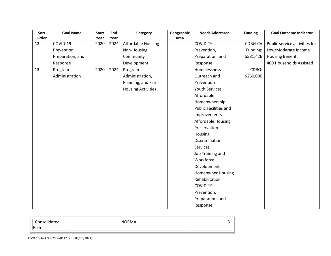| Sort  | <b>Goal Name</b> | <b>Start</b> | End  | Category                  | Geographic | <b>Needs Addressed</b>       | <b>Funding</b> | <b>Goal Outcome Indicator</b> |
|-------|------------------|--------------|------|---------------------------|------------|------------------------------|----------------|-------------------------------|
| Order |                  | Year         | Year |                           | Area       |                              |                |                               |
| 12    | COVID-19         | 2020         | 2024 | Affordable Housing        |            | COVID-19                     | CDBG-CV        | Public service activities for |
|       | Prevention,      |              |      | Non-Housing               |            | Prevention,                  | Funding:       | Low/Moderate Income           |
|       | Preparation, and |              |      | Community                 |            | Preparation, and             | \$581,426      | <b>Housing Benefit:</b>       |
|       | Response         |              |      | Development               |            | Response                     |                | 400 Households Assisted       |
| 13    | Program          | 2020         | 2024 | Program                   |            | Homelessness                 | CDBG:          |                               |
|       | Administration   |              |      | Administration,           |            | Outreach and                 | \$260,000      |                               |
|       |                  |              |      | Planning, and Fair        |            | Prevention                   |                |                               |
|       |                  |              |      | <b>Housing Activities</b> |            | <b>Youth Services</b>        |                |                               |
|       |                  |              |      |                           |            | Affordable                   |                |                               |
|       |                  |              |      |                           |            | Homeownership                |                |                               |
|       |                  |              |      |                           |            | <b>Public Facilities and</b> |                |                               |
|       |                  |              |      |                           |            | Improvements                 |                |                               |
|       |                  |              |      |                           |            | Affordable Housing           |                |                               |
|       |                  |              |      |                           |            | Preservation                 |                |                               |
|       |                  |              |      |                           |            | Housing                      |                |                               |
|       |                  |              |      |                           |            | Discrimination               |                |                               |
|       |                  |              |      |                           |            | Services                     |                |                               |
|       |                  |              |      |                           |            | Job Training and             |                |                               |
|       |                  |              |      |                           |            | Workforce                    |                |                               |
|       |                  |              |      |                           |            | Development                  |                |                               |
|       |                  |              |      |                           |            | <b>Homeowner Housing</b>     |                |                               |
|       |                  |              |      |                           |            | Rehabilitation               |                |                               |
|       |                  |              |      |                           |            | COVID-19                     |                |                               |
|       |                  |              |      |                           |            | Prevention,                  |                |                               |
|       |                  |              |      |                           |            | Preparation, and             |                |                               |
|       |                  |              |      |                           |            | Response                     |                |                               |

| $\overline{\phantom{0}}$<br>∶∩ns∩<br>eu | <b>NORMAL</b> |  |
|-----------------------------------------|---------------|--|
| Plan                                    |               |  |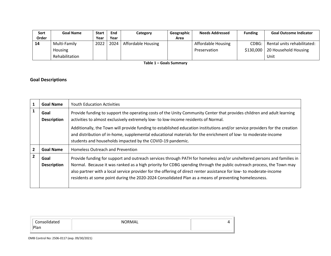| Sort  | <b>Goal Name</b> | <b>Start</b> | End  | Category                  | Geographic | <b>Needs Addressed</b>    | <b>Funding</b> | <b>Goal Outcome Indicator</b> |
|-------|------------------|--------------|------|---------------------------|------------|---------------------------|----------------|-------------------------------|
| Order |                  | Year         | Year |                           | Area       |                           |                |                               |
| 14    | Multi-Family     | 2022         | 2024 | <b>Affordable Housing</b> |            | <b>Affordable Housing</b> | CDBG:          | Rental units rehabilitated:   |
|       | Housing          |              |      |                           |            | Preservation              | \$130,000      | 20 Household Housing          |
|       | Rehabilitation   |              |      |                           |            |                           |                | Unit                          |

**Table 1 – Goals Summary**

#### **Goal Descriptions**

|                | <b>Goal Name</b>           | <b>Youth Education Activities</b>                                                                                                                                                                                                                                                                                                                                                                                                                                              |
|----------------|----------------------------|--------------------------------------------------------------------------------------------------------------------------------------------------------------------------------------------------------------------------------------------------------------------------------------------------------------------------------------------------------------------------------------------------------------------------------------------------------------------------------|
|                | Goal<br><b>Description</b> | Provide funding to support the operating costs of the Unity Community Center that provides children and adult learning<br>activities to almost exclusively extremely low- to low-income residents of Normal.                                                                                                                                                                                                                                                                   |
|                |                            | Additionally, the Town will provide funding to established education institutions and/or service providers for the creation<br>and distribution of in-home, supplemental educational materials for the enrichment of low-to moderate-income<br>students and households impacted by the COVID-19 pandemic.                                                                                                                                                                      |
| $\overline{2}$ | <b>Goal Name</b>           | <b>Homeless Outreach and Prevention</b>                                                                                                                                                                                                                                                                                                                                                                                                                                        |
| $\overline{2}$ | Goal<br><b>Description</b> | Provide funding for support and outreach services through PATH for homeless and/or unsheltered persons and families in<br>Normal. Because it was ranked as a high priority for CDBG spending through the public outreach process, the Town may<br>also partner with a local service provider for the offering of direct renter assistance for low- to moderate-income<br>residents at some point during the 2020-2024 Consolidated Plan as a means of preventing homelessness. |

٠I

| Consolidated        | NORMAL |  |
|---------------------|--------|--|
| ั <sup>o</sup> lani |        |  |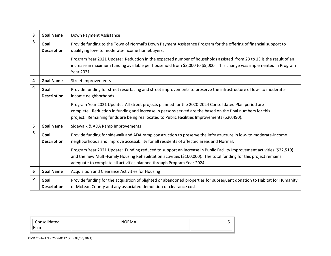| 3                       | <b>Goal Name</b>           | Down Payment Assistance                                                                                                                                                                                                                                                                                               |
|-------------------------|----------------------------|-----------------------------------------------------------------------------------------------------------------------------------------------------------------------------------------------------------------------------------------------------------------------------------------------------------------------|
| 3                       | Goal<br><b>Description</b> | Provide funding to the Town of Normal's Down Payment Assistance Program for the offering of financial support to<br>qualifying low- to moderate-income homebuyers.                                                                                                                                                    |
|                         |                            | Program Year 2021 Update: Reduction in the expected number of households assisted from 23 to 13 is the result of an<br>increase in maximum funding available per household from \$3,000 to \$5,000. This change was implemented in Program<br>Year 2021.                                                              |
| 4                       | <b>Goal Name</b>           | <b>Street Improvements</b>                                                                                                                                                                                                                                                                                            |
| $\overline{\mathbf{4}}$ | Goal<br><b>Description</b> | Provide funding for street resurfacing and street improvements to preserve the infrastructure of low-to moderate-<br>income neighborhoods.                                                                                                                                                                            |
|                         |                            | Program Year 2021 Update: All street projects planned for the 2020-2024 Consolidated Plan period are<br>complete. Reduction in funding and increase in persons served are the based on the final numbers for this<br>project. Remaining funds are being reallocated to Public Facilities Improvements (\$20,490).     |
| 5                       | <b>Goal Name</b>           | Sidewalk & ADA Ramp Improvements                                                                                                                                                                                                                                                                                      |
| 5                       | Goal<br><b>Description</b> | Provide funding for sidewalk and ADA ramp construction to preserve the infrastructure in low- to moderate-income<br>neighborhoods and improve accessibility for all residents of affected areas and Normal.                                                                                                           |
|                         |                            | Program Year 2021 Update: Funding reduced to support an increase in Public Facility Improvement activities (\$22,510)<br>and the new Multi-Family Housing Rehabilitation activities (\$100,000). The total funding for this project remains<br>adequate to complete all activities planned through Program Year 2024. |
| 6                       | <b>Goal Name</b>           | Acquisition and Clearance Activities for Housing                                                                                                                                                                                                                                                                      |
| 6                       | Goal<br><b>Description</b> | Provide funding for the acquisition of blighted or abandoned properties for subsequent donation to Habitat for Humanity<br>of McLean County and any associated demolition or clearance costs.                                                                                                                         |

| Consolidated | NORMAL |  |
|--------------|--------|--|
| 4an          |        |  |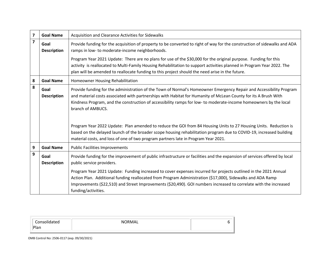| 7                       | <b>Goal Name</b>           | Acquisition and Clearance Activities for Sidewalks                                                                                                                                                                                                                                                                                                                               |
|-------------------------|----------------------------|----------------------------------------------------------------------------------------------------------------------------------------------------------------------------------------------------------------------------------------------------------------------------------------------------------------------------------------------------------------------------------|
| $\overline{\mathbf{z}}$ | Goal<br><b>Description</b> | Provide funding for the acquisition of property to be converted to right of way for the construction of sidewalks and ADA<br>ramps in low- to moderate-income neighborhoods.                                                                                                                                                                                                     |
|                         |                            | Program Year 2021 Update: There are no plans for use of the \$30,000 for the original purpose. Funding for this<br>activity is reallocated to Multi-Family Housing Rehabilitation to support activities planned in Program Year 2022. The<br>plan will be amended to reallocate funding to this project should the need arise in the future.                                     |
| 8                       | <b>Goal Name</b>           | Homeowner Housing Rehabilitation                                                                                                                                                                                                                                                                                                                                                 |
| 8                       | Goal<br><b>Description</b> | Provide funding for the administration of the Town of Normal's Homeowner Emergency Repair and Accessibility Program<br>and material costs associated with partnerships with Habitat for Humanity of McLean County for its A Brush With<br>Kindness Program, and the construction of accessibility ramps for low- to moderate-income homeowners by the local<br>branch of AMBUCS. |
|                         |                            | Program Year 2022 Update: Plan amended to reduce the GOI from 84 Housing Units to 27 Housing Units. Reduction is<br>based on the delayed launch of the broader scope housing rehabilitation program due to COVID-19, increased building<br>material costs, and loss of one of two program partners late in Program Year 2021.                                                    |
| 9                       | <b>Goal Name</b>           | <b>Public Facilities Improvements</b>                                                                                                                                                                                                                                                                                                                                            |
| 9                       | Goal<br><b>Description</b> | Provide funding for the improvement of public infrastructure or facilities and the expansion of services offered by local<br>public service providers.                                                                                                                                                                                                                           |
|                         |                            | Program Year 2021 Update: Funding increased to cover expenses incurred for projects outlined in the 2021 Annual<br>Action Plan. Additional funding reallocated from Program Administration (\$17,000), Sidewalks and ADA Ramp<br>Improvements (\$22,510) and Street Improvements (\$20,490). GOI numbers increased to correlate with the increased<br>funding/activities.        |

| -.<br>Plan | NORMAL |  |
|------------|--------|--|
|            |        |  |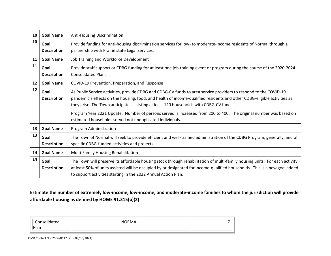| 10 | <b>Goal Name</b>           | Anti-Housing Discrimination                                                                                                                                                                                                                                                                                                                                                                                                                                                                                              |
|----|----------------------------|--------------------------------------------------------------------------------------------------------------------------------------------------------------------------------------------------------------------------------------------------------------------------------------------------------------------------------------------------------------------------------------------------------------------------------------------------------------------------------------------------------------------------|
| 10 | Goal<br><b>Description</b> | Provide funding for anti-housing discrimination services for low- to moderate-income residents of Normal through a<br>partnership with Prairie state Legal Services.                                                                                                                                                                                                                                                                                                                                                     |
| 11 | <b>Goal Name</b>           | Job Training and Workforce Development                                                                                                                                                                                                                                                                                                                                                                                                                                                                                   |
| 11 | Goal<br><b>Description</b> | Provide staff support or CDBG funding for at least one job training event or program during the course of the 2020-2024<br>Consolidated Plan.                                                                                                                                                                                                                                                                                                                                                                            |
| 12 | <b>Goal Name</b>           | COVID-19 Prevention, Preparation, and Response                                                                                                                                                                                                                                                                                                                                                                                                                                                                           |
| 12 | Goal<br><b>Description</b> | As Public Service activities, provide CDBG and CDBG-CV funds to area service providers to respond to the COVID-19<br>pandemic's effects on the housing, food, and health of income-qualified residents and other CDBG-eligible activities as<br>they arise. The Town anticipates assisting at least 120 households with CDBG-CV funds.<br>Program Year 2021 Update: Number of persons served is increased from 200 to 400. The original number was based on<br>estimated households served not unduplicated individuals. |
| 13 | <b>Goal Name</b>           | Program Administration                                                                                                                                                                                                                                                                                                                                                                                                                                                                                                   |
| 13 | Goal<br><b>Description</b> | The Town of Normal will seek to provide efficient and well-trained administration of the CDBG Program, generally, and of<br>specific CDBG-funded activities and projects.                                                                                                                                                                                                                                                                                                                                                |
| 14 | <b>Goal Name</b>           | Multi-Family Housing Rehabilitation                                                                                                                                                                                                                                                                                                                                                                                                                                                                                      |
| 14 | Goal<br><b>Description</b> | The Town will preserve its affordable housing stock through rehabilitation of multi-family housing units. For each activity,<br>at least 50% of units assisted will be occupied by or designated for income-qualified households. This is a new goal added<br>to support activities starting in the 2022 Annual Action Plan.                                                                                                                                                                                             |

**Estimate the number of extremely low-income, low-income, and moderate-income families to whom the jurisdiction will provide affordable housing as defined by HOME 91.315(b)(2)**

| Consolidated | <b>NORMAL</b> |  |
|--------------|---------------|--|
| Plan         |               |  |
|              |               |  |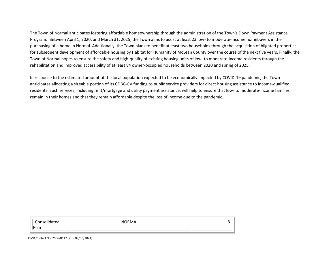The Town of Normal anticipates fostering affordable homeownership through the administration of the Town's Down Payment Assistance Program. Between April 1, 2020, and March 31, 2025, the Town aims to assist at least 23 low- to moderate-income homebuyers in the purchasing of a home in Normal. Additionally, the Town plans to benefit at least two households through the acquisition of blighted properties for subsequent development of affordable housing by Habitat for Humanity of McLean County over the course of the next five years. Finally, the Town of Normal hopes to ensure the safety and high-quality of existing housing units of low- to moderate-income residents through the rehabilitation and improved accessibility of at least 84 owner-occupied households between 2020 and spring of 2025.

In response to the estimated amount of the local population expected to be economically impacted by COVID-19 pandemic, the Town anticipates allocating a sizeable portion of its CDBG-CV funding to public service providers for direct housing assistance to income-qualified residents. Such services, including rent/mortgage and utility payment assistance, will help to ensure that low- to moderate-income families remain in their homes and that they remain affordable despite the loss of income due to the pandemic.

| Consolidated<br>Plan | NORMAL |  |
|----------------------|--------|--|
|                      |        |  |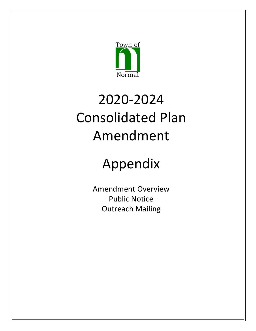

# 2020-2024 Consolidated Plan Amendment

# Appendix

Amendment Overview Public Notice Outreach Mailing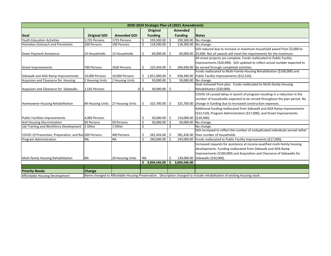| 2020-2024 Strategic Plan v3 (2021 Amendment)          |                     |                    |                     |                 |    |                       |                                                                                                                           |  |  |
|-------------------------------------------------------|---------------------|--------------------|---------------------|-----------------|----|-----------------------|---------------------------------------------------------------------------------------------------------------------------|--|--|
|                                                       |                     |                    | Amended<br>Original |                 |    |                       |                                                                                                                           |  |  |
| Goal                                                  | <b>Original GOI</b> | <b>Amended GOI</b> |                     | <b>Funding</b>  |    | <b>Funding</b>        | <b>Notes</b>                                                                                                              |  |  |
| <b>Youth Education Activities</b>                     | 1,725 Persons       | 1725 Persons       | \$                  | 193,500.00 \$   |    | 193,500.00 No change. |                                                                                                                           |  |  |
| Homeless Outreach and Prevention                      | 100 Persons         | 100 Persons        | Ś                   | 118,500.00 \$   |    | 118,500.00 No change. |                                                                                                                           |  |  |
|                                                       |                     |                    |                     |                 |    |                       | GOI reduced due to increase in maximum household award from \$3,000 to                                                    |  |  |
| Down Payment Assistance                               | 23 Households       | 13 Households      | Ŝ                   | 69,000.00 \$    |    |                       | 69,000.00 \$5,000. Not all awards will meet the requirements for the maximum.                                             |  |  |
|                                                       |                     |                    |                     |                 |    |                       | All street projects are complete. Funds reallocated to Public Facility                                                    |  |  |
|                                                       |                     |                    |                     |                 |    |                       | Improvements (\$20,490). GOI updated to reflect actual number expected to                                                 |  |  |
| <b>Street Improvements</b>                            | 700 Persons         | 1630 Persons       | Ŝ                   | 225,420.00 \$   |    |                       | 204,930.00 be served through completed activities.                                                                        |  |  |
|                                                       |                     |                    |                     |                 |    |                       | Funds reallocated to Multi-Family Housing Rehabilitation (\$100,000) and                                                  |  |  |
| Sidewalk and ADA Ramp Improvemnets                    | 10,000 Persons      | 10,000 Persons     | Ŝ.                  | 1,051,000.00 \$ |    |                       | 928,490.00 Public Facility Improvements (\$22,510).                                                                       |  |  |
| Acquision and Clearance for Housing                   | 2 Housing Units     | 2 Housing Units    | \$                  | 50,000.00 \$    |    |                       | 50,000.00 No change.                                                                                                      |  |  |
|                                                       |                     |                    |                     |                 |    |                       | Goal removed from plan. Funds reallocated to Multi-family Housing                                                         |  |  |
| Acquision and Clearance for Sidewalks                 | 1,535 Persons       | $\mathbf{0}$       | \$.                 | 30,000.00 \$    |    |                       | Rehabilitation (\$30,000).                                                                                                |  |  |
|                                                       |                     |                    |                     |                 |    |                       | COVID-19 caused delay in launch of program resulting in a reduction in the                                                |  |  |
|                                                       |                     |                    |                     |                 |    |                       | number of households expected to be served throughout the plan period. No                                                 |  |  |
| <b>Homeowner Housing Rehabilitation</b>               | 84 Housing Units    | 27 Housing Units   | Ŝ                   | 325,700.00 \$   |    | 325,700.00            | change in funding due to increased construction expenses.                                                                 |  |  |
|                                                       |                     |                    |                     |                 |    |                       | Additional funding reallocated from Sidewalk and ADA Ramp Improvements                                                    |  |  |
|                                                       |                     |                    |                     |                 |    |                       | (\$22,510), Program Administration (\$17,000), and Street Improvements                                                    |  |  |
| <b>Public Facilities Improvements</b>                 | 4,000 Persons       |                    | Ŝ                   | $50,000.00$ \$  |    | 110,000.00            | ( \$20,490).                                                                                                              |  |  |
| <b>Anti-Housing Discrimination</b>                    | 50 Persons          | 50 Persons         | Ś                   | 50,000.00       | Ŝ. | 50,000.00             | No change.                                                                                                                |  |  |
| Job Training and Workforce Development                | 1 Other             | 1 Other            | \$                  |                 | Ś. |                       | No change.                                                                                                                |  |  |
|                                                       |                     |                    |                     |                 |    |                       | GOI increased to reflect the number of unduplicated individuals served rather                                             |  |  |
| COVID-19 Prevention, Preparation, and Res 200 Persons |                     | 400 Persons        | S                   | 581,426.00      |    |                       | 581,426.00 than number of households.                                                                                     |  |  |
| Program Administration                                | <b>NA</b>           | <b>NA</b>          | Ś                   | 260,000.00 \$   |    |                       | 243,000.00 Funds reallocated to Public Facility Improvements (\$17,000).                                                  |  |  |
|                                                       |                     |                    |                     |                 |    |                       | Increased requests for assistance at income-qualified multi-family housing                                                |  |  |
|                                                       |                     |                    |                     |                 |    |                       | developments. Funding reallocated from Sidewalk and ADA Ramp                                                              |  |  |
|                                                       |                     |                    |                     |                 |    |                       | Improvements (\$100,000) and Acquisition and Clearance of Sidewalks for                                                   |  |  |
| Multi-family Housing Rehabilitation                   | <b>NA</b>           | 20 Housing Units   | <b>NA</b>           |                 | S  |                       | 130,000.00 Sidewalks (\$30,000).                                                                                          |  |  |
|                                                       |                     |                    | Ś.                  | 3,004,546.00    | Ŝ. | 3,004,546.00          |                                                                                                                           |  |  |
|                                                       |                     |                    |                     |                 |    |                       |                                                                                                                           |  |  |
| <b>Priority Needs</b>                                 | <b>Change</b>       |                    |                     |                 |    |                       |                                                                                                                           |  |  |
| Affordable Housing Development                        |                     |                    |                     |                 |    |                       | Name changed to Affordable Housing Preservation. Description changed to include rehabilitation of existing housing stock. |  |  |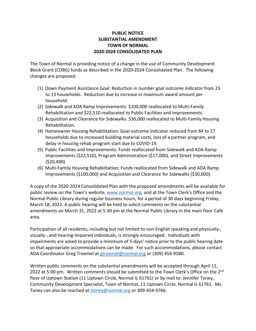#### **PUBLIC NOTICE SUBSTANTIAL AMENDMENT TOWN OF NORMAL 2020-2024 CONSOLIDATED PLAN**

The Town of Normal is providing notice of a change in the use of Community Development Block Grant (CDBG) funds as described in the 2020-2024 Consolidated Plan. The following changes are proposed:

- (1) Down Payment Assistance Goal: Reduction in number goal outcome indicator from 23 to 13 households. Reduction due to increase in maximum award amount per household.
- (2) Sidewalk and ADA Ramp Improvements: \$100,000 reallocated to Multi-Family Rehabilitation and \$22,510 reallocated to Public Facilities and Improvements.
- (3) Acquisition and Clearance for Sidewalks: \$30,000 reallocated to Multi-Family Housing Rehabilitation.
- (4) Homeowner Housing Rehabilitation: Goal outcome indicator reduced from 84 to 27 households due to increased building material costs, loss of a partner program, and delay in housing rehab program start due to COVID-19.
- (5) Public Facilities and Improvements: Funds reallocated from Sidewalk and ADA Ramp Improvements (\$22,510), Program Administration (\$17,000), and Street Improvements (\$20,490).
- (6) Multi-Family Housing Rehabilitation: Funds reallocated from Sidewalk and ADA Ramp Improvements (\$100,000) and Acquisition and Clearance for Sidewalks (\$30,000).

A copy of the 2020-2024 Consolidated Plan with the proposed amendments will be available for public review on the Town's website, [www.normal.org,](http://www.normal.org/) and at the Town Clerk's Office and the Normal Public Library during regular business hours, for a period of 30 days beginning Friday, March 18, 2022. A public hearing will be held to solicit comments on the substantial amendments on March 31, 2022 at 5:30 pm at the Normal Public Library in the main floor Café area.

Participation of all residents, including but not limited to non-English speaking and physically-, visually-, and hearing-impaired individuals, is strongly encouraged. Individuals with impairments are asked to provide a minimum of 5-days' notice prior to the public hearing date so that appropriate accommodations can be made. For such accommodations, please contact ADA Coordinator Greg Troemel at [gtroemel@normal.org](mailto:gtroemel@normal.org) or (309) 454-9580.

Written public comments on the substantial amendments will be accepted through April 11, 2022 at 5:00 pm. Written comments should be submitted to the Town Clerk's Office on the 2<sup>nd</sup> floor of Uptown Station (11 Uptown Circle, Normal IL 61761) or by mail to: Jennifer Toney, Community Development Specialist, Town of Normal, 11 Uptown Circle, Normal IL 61761. Ms. Toney can also be reached at [jtoney@normal.org](mailto:jtoney@normal.org) or 309-454-9766.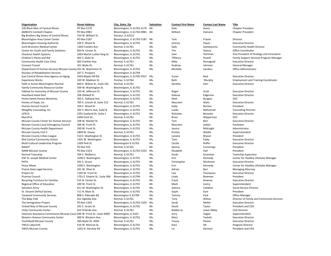| Organization                                                             | <b>Street Address</b>         | City, State, Zip           | Salutation | <b>Contact First Name</b> | <b>Contact Last Name</b> | <b>Title</b>                                          |
|--------------------------------------------------------------------------|-------------------------------|----------------------------|------------|---------------------------|--------------------------|-------------------------------------------------------|
| 100 Black Men of Central Illinois                                        | PO Box 5170                   | Bloomington, IL 61702-5170 | Mr.        | Dale                      | Avery                    | <b>Chapter President</b>                              |
| <b>AMBUCS Cornbelt Chapter</b>                                           | PO Box 0981                   | Bloomington, IL 61702-0981 | Mr.        | William                   | Hamann                   | <b>Chapter President</b>                              |
| Big Brothers Big Sisters of Central Illinois                             | 310 W. William St.            | Decatur, IL 62522          |            |                           |                          |                                                       |
| <b>Bloomington Area Career Center</b>                                    | PO Box 5187                   | Bloomington, IL 61702-5187 | Mr.        | Tom                       | Frazier                  | Director                                              |
| <b>Bloomington Housing Authority</b>                                     | 104 E. Wood St.               | Bloomington, IL 61701      | Mr.        | Jeremy                    | Hayes                    | <b>Executive Director</b>                             |
| Carle Bromenn Medical Center                                             | 1304 Franklin Ave.            | Normal, IL 61761           | Ms.        | Sally                     | Gambacorta               | Community Health I                                    |
| Center for Youth and Family Solutions                                    | 603 N. Center St.             | Bloomington, IL 61701      | Mr.        | Tim                       | Glancy                   | <b>Office Coordinator</b>                             |
| <b>Chestnut Health Systems</b>                                           | 1003 Martin Luther King Dr.   | Bloomington, IL 61701      | Ms.        | Joan                      | Hartman                  | Vice President of Str                                 |
| Children's Home and Aid                                                  | 403 S. State St.              | Bloomington, IL 61701      | Ms.        | Tiffanny                  | Powell                   | <b>Family Support Serv</b>                            |
| <b>Community Health Care Clinic</b>                                      | 902 Franklin Ave.             | Normal, IL 61761           | Mr.        | Mike                      | Romagnali                | <b>Executive Director</b>                             |
| <b>Connect Transit</b>                                                   | 351 Wylie Dr.                 | Normal, IL 61761           | Mr.        | Andrew                    | Johnson                  | <b>General Manager</b>                                |
| Department of Human Services McLean County 501 W. Washinton St.          |                               | Bloomington, IL 61701      | Ms.        | Michelle                  | Sanders                  | Office Administrator                                  |
| Division of Rehabilitation Services                                      | 207 S. Prospect               | Bloomington, IL 61704      |            |                           |                          |                                                       |
| East Central Illinois Area Agency on Aging                               | 1003 Maple Hill Rd.           | Bloomington, IL 61705-9327 | Ms.        | Susan                     | Real                     | <b>Executive Director</b>                             |
| <b>Experience Works</b>                                                  | 320 W. Madison St.            | Pontiac, IL 61764          | Ms.        | Beth                      | Murphy                   | Employment and Tra                                    |
| Faith in Action Bloomington-Normal                                       | 600 E. Willow St., Suite 201  | Normal, IL 61761           | Ms.        | Doretta                   | Herr                     | <b>Executive Director</b>                             |
| <b>Family Community Resource Center</b>                                  | 509 W. Washington St.         | Bloomington, IL 61701      |            |                           |                          |                                                       |
| Habitat for Humanity of McLean County                                    | 103 W. Jefferson St.          | Bloomington, IL 61701      | Mr.        | Roger                     | Scott                    | <b>Executive Director</b>                             |
| <b>Heartland Head Start</b>                                              | 206 Stillwell St.             | Bloomington, IL 61701      | Ms.        | Kalessa                   | Edgerson                 | <b>Executive Director</b>                             |
| <b>Home Sweet Homes Ministries</b>                                       | 303 E. Oakland Ave.           | Bloomington, IL 61701      | Mr.        | Matt                      | <b>Burgess</b>           | <b>CEO</b>                                            |
| Homes of Hope, Inc.                                                      | 705 E. Lincoln St. Suite 313  | Normal, IL 61761           | Ms.        | Maureen                   | Wyhs                     | <b>Executive Director</b>                             |
| Human Service Council                                                    | 104 E. Wood St.               | Bloomington, IL 61701      | Ms.        | Gaby                      | <b>Bontea</b>            | President                                             |
| INtegRity Counseling, Inc.                                               | 502 S. Morris Ave, Suite B    | Bloomington, IL 61701      | Ms.        | Luella                    | Mahannah                 | <b>Counseling Director</b>                            |
| LIFECIL                                                                  | 2201 Eastland Dr, Suite 1     | Bloomington, IL 61701      | Ms.        | Rickielee                 | Benecke                  | <b>Executive Director</b>                             |
| Marcfirst                                                                | 1606 Hunt Dr.                 | Normal, IL 61761           | Mr.        | <b>Brian</b>              | Wipperman                | CEO                                                   |
| McLean County Center for Human Services                                  | 108 W. Market St.             | Bloomington, IL 61701      | Mr.        | Tom                       | Barr                     | <b>Executive Director</b>                             |
| McLean County Local Interagency Council                                  | 200 W. Front St.              | Bloomington, IL 61701      | Ms.        | Maureen                   | Sollars                  | Facilitator                                           |
| <b>McLean County Health Department</b>                                   | 200 W. Front St.              | Bloomington, IL 61701      | Ms.        | Jessica                   | McKnight                 | Administrator                                         |
| <b>McLean County Unit 5</b>                                              | 1809 W. Hovey                 | Normal, IL 61761           | Ms.        | Kristen                   | Weikle                   | Superintendent                                        |
| McLean County Urban League                                               | 510 E. Washington St.         | Bloomington, IL 61701      | Ms.        | Laraine                   | <b>Bryson</b>            | President                                             |
| Mid Central Community Action                                             | 1301 W. Washington            | Bloomington, IL 61701      | Ms.        | Tami                      | Foley                    | <b>Executive Director</b>                             |
| Multi-Cultural Leadership Program                                        | 1309 Park St.                 | Bloomington IL 61701       | Ms.        | Cecilia                   | Ruffin                   | <b>Executive Director</b>                             |
| <b>NAACP</b>                                                             | PO Box 925                    | Normal, IL 61761           | Mr.        | Quincy                    | Cummings                 | President                                             |
| <b>NAMI McLean County</b>                                                | PO Box 5323                   | Bloomington, IL 61702-5323 | Ms.        | Elizabeth                 | Hall                     | President                                             |
| Normal Township                                                          | 304 E. Mulberry               | Normal, IL 61761           | Ms.        | Sarah                     | Grammer                  | <b>Township Superviso</b>                             |
|                                                                          | 2200 E. Washington            | Bloomington, IL 61701      | Ms.        | Erin                      | Kennedy                  | Center for Healthy L                                  |
| OSF St. Joseph Medical Center<br><b>PATH</b>                             | 201 E. Grove                  | Bloomington, IL 61701      | Mr.        |                           | Workman                  | <b>Executive Director</b>                             |
| <b>Peace Meals</b>                                                       | 2200 E. Washington            | Bloomington, IL 61701      | Ms.        | Christopher<br>Erin       | Kennedy                  | Center for Healthy L                                  |
| Prairie State Legal Services                                             | 201 W. Olive St.              |                            | Mr.        | Adrian                    | Barr                     |                                                       |
|                                                                          | 1105 W. Front St.             | Bloomington, IL 61701      | Ms.        |                           |                          | <b>Managing Attorney</b><br><b>Executive Director</b> |
| Project Oz<br><b>Promise Council</b>                                     |                               | Bloomington, IL 61701      |            | Lisa                      | Thompson                 | President                                             |
|                                                                          | 1701 E. Empire St., Suite 360 | Bloomington, IL 61704      | Ms.        | Linda                     | Bowman                   |                                                       |
| Recycling Furniture for Families                                         | 515 N. Center St.             | Bloomington, IL 61701      | Mr.        | Frank                     | Downes                   | <b>Executive Director</b>                             |
| Regional Office of Education                                             | 200 W. Front St.              | Bloomington, IL 61701      | Mr.        | Mark                      | Jontry                   | Superintendent                                        |
| Salvation Army                                                           | 611 W. Washington St.         | Bloomington, IL 61701      | Ms.        | JoAnna                    | Callahan                 | <b>Social Service Direct</b>                          |
| St. Vincent DePaul Society                                               | 711 N. Main St.               | Bloomington, IL 61701      | Ms.        | Gayle                     | Eyre                     | President                                             |
| <b>Tazwood Community Services</b>                                        | 808 S. Eldorado Rd            | Bloomington IL 61704       | Ms.        | Tammy                     | Park                     | <b>Office Manager</b>                                 |
| The Baby Fold                                                            | 612 Ogelsby Ave.              | Normal, IL 61761           | Mr.        | Tony                      | Wilson                   | Director of Family ar                                 |
| The Immigration Project                                                  | PO Box 1503                   | Bloomington, IL 61702-1503 | Ms.        | Sarah                     | Mellor                   | <b>Executive Director</b>                             |
| United Way of McLean County                                              | 201 E. Grove St.              | Bloomington, IL 61701      | Mr.        | David                     | Taylor                   | President and CEO                                     |
| <b>Unity Community Center</b>                                            | 623 Orlando Ave.              | Normal, IL 61761           | Ms.        | Bobbie Jo                 | Lewis-Sibley             | Unit Director                                         |
| Veterans Assistance Commission-McLean Count 200 W. Front St., Suite 400D |                               | Bloomington, IL 6101       | Mr.        | Jerry                     | Vogler                   | Superintendent                                        |
| <b>Western Avenue Community Center</b>                                   | 600 N. Western Ave.           | Bloomington, IL 61701      | Ms.        | Mary                      | Tackett                  | <b>Executive Director</b>                             |
| YouthBuild McLean County                                                 | 360 Wylie Dr. #305            | Normal, IL 61761           | Ms.        | Tracey                    | Polson                   | <b>Executive Director</b>                             |
| YWCA Labyrinth                                                           | 616 W. Monroe St.             | Bloomington, IL 61701      | Ms.        | Kara                      | Alt                      | Program Director                                      |
| YWCA McLean County                                                       | 1201 N. Hershey Rd            | Bloomington, IL 61701      | Ms.        | Liz                       | German                   | President and CEO                                     |

Community Health Director Vice President of Strategy and Innovation Family Support Services Program Manager Employment and Training Coordinator Township Supervisor Center for Healthy Lifestyles Manager Center for Healthy Lifestyles Manager Social Service Director Director of Family and Community Services